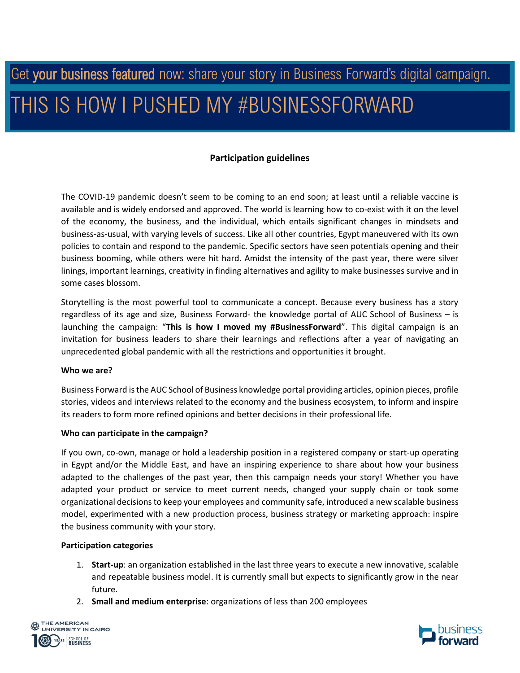# Get your business featured now: share your story in Business Forward's digital campaign. THIS IS HOW I PUSHED MY #BUSINESSFORWARD

## **Participation guidelines**

The COVID-19 pandemic doesn't seem to be coming to an end soon; at least until a reliable vaccine is available and is widely endorsed and approved. The world is learning how to co-exist with it on the level of the economy, the business, and the individual, which entails significant changes in mindsets and business-as-usual, with varying levels of success. Like all other countries, Egypt maneuvered with its own policies to contain and respond to the pandemic. Specific sectors have seen potentials opening and their business booming, while others were hit hard. Amidst the intensity of the past year, there were silver linings, important learnings, creativity in finding alternatives and agility to make businesses survive and in some cases blossom.

Storytelling is the most powerful tool to communicate a concept. Because every business has a story regardless of its age and size, Business Forward- the knowledge portal of AUC School of Business – is launching the campaign: "**This is how I moved my #BusinessForward**". This digital campaign is an invitation for business leaders to share their learnings and reflections after a year of navigating an unprecedented global pandemic with all the restrictions and opportunities it brought.

### **Who we are?**

Business Forward is the AUC School of Business knowledge portal providing articles, opinion pieces, profile stories, videos and interviews related to the economy and the business ecosystem, to inform and inspire its readers to form more refined opinions and better decisions in their professional life.

### **Who can participate in the campaign?**

If you own, co-own, manage or hold a leadership position in a registered company or start-up operating in Egypt and/or the Middle East, and have an inspiring experience to share about how your business adapted to the challenges of the past year, then this campaign needs your story! Whether you have adapted your product or service to meet current needs, changed your supply chain or took some organizational decisions to keep your employees and community safe, introduced a new scalable business model, experimented with a new production process, business strategy or marketing approach: inspire the business community with your story.

### **Participation categories**

- 1. **Start-up**: an organization established in the last three years to execute a new innovative, scalable and repeatable business model. It is currently small but expects to significantly grow in the near future.
- 2. **Small and medium enterprise**: organizations of less than 200 employees